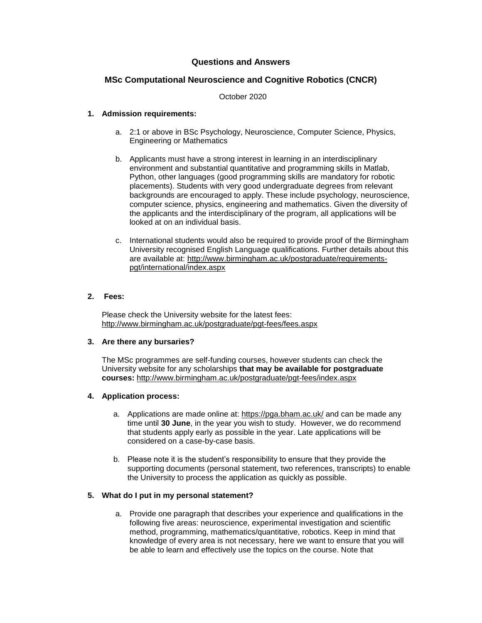## **Questions and Answers**

## **MSc Computational Neuroscience and Cognitive Robotics (CNCR)**

October 2020

#### **1. Admission requirements:**

- a. 2:1 or above in BSc Psychology, Neuroscience, Computer Science, Physics, Engineering or Mathematics
- b. Applicants must have a strong interest in learning in an interdisciplinary environment and substantial quantitative and programming skills in Matlab, Python, other languages (good programming skills are mandatory for robotic placements). Students with very good undergraduate degrees from relevant backgrounds are encouraged to apply. These include psychology, neuroscience, computer science, physics, engineering and mathematics. Given the diversity of the applicants and the interdisciplinary of the program, all applications will be looked at on an individual basis.
- c. International students would also be required to provide proof of the Birmingham University recognised English Language qualifications. Further details about this are available at: [http://www.birmingham.ac.uk/postgraduate/requirements](http://www.birmingham.ac.uk/postgraduate/requirements-pgt/international/index.aspx)[pgt/international/index.aspx](http://www.birmingham.ac.uk/postgraduate/requirements-pgt/international/index.aspx)

## **2. Fees:**

Please check the University website for the latest fees: <http://www.birmingham.ac.uk/postgraduate/pgt-fees/fees.aspx>

#### **3. Are there any bursaries?**

The MSc programmes are self-funding courses, however students can check the University website for any scholarships **that may be available for postgraduate courses:** <http://www.birmingham.ac.uk/postgraduate/pgt-fees/index.aspx>

### **4. Application process:**

- a. Applications are made online at:<https://pga.bham.ac.uk/> and can be made any time until **30 June**, in the year you wish to study. However, we do recommend that students apply early as possible in the year. Late applications will be considered on a case-by-case basis.
- b. Please note it is the student's responsibility to ensure that they provide the supporting documents (personal statement, two references, transcripts) to enable the University to process the application as quickly as possible.

### **5. What do I put in my personal statement?**

a. Provide one paragraph that describes your experience and qualifications in the following five areas: neuroscience, experimental investigation and scientific method, programming, mathematics/quantitative, robotics. Keep in mind that knowledge of every area is not necessary, here we want to ensure that you will be able to learn and effectively use the topics on the course. Note that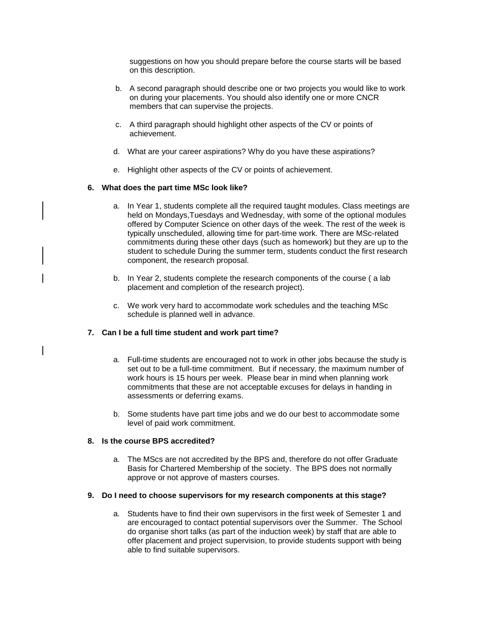suggestions on how you should prepare before the course starts will be based on this description.

- b. A second paragraph should describe one or two projects you would like to work on during your placements. You should also identify one or more CNCR members that can supervise the projects.
- c. A third paragraph should highlight other aspects of the CV or points of achievement.
- d. What are your career aspirations? Why do you have these aspirations?
- e. Highlight other aspects of the CV or points of achievement.

### **6. What does the part time MSc look like?**

- a. In Year 1, students complete all the required taught modules. Class meetings are held on Mondays,Tuesdays and Wednesday, with some of the optional modules offered by Computer Science on other days of the week. The rest of the week is typically unscheduled, allowing time for part-time work. There are MSc-related commitments during these other days (such as homework) but they are up to the student to schedule During the summer term, students conduct the first research component, the research proposal.
- b. In Year 2, students complete the research components of the course ( a lab placement and completion of the research project).
- c. We work very hard to accommodate work schedules and the teaching MSc schedule is planned well in advance.

## **7. Can I be a full time student and work part time?**

- a. Full-time students are encouraged not to work in other jobs because the study is set out to be a full-time commitment. But if necessary, the maximum number of work hours is 15 hours per week. Please bear in mind when planning work commitments that these are not acceptable excuses for delays in handing in assessments or deferring exams.
- b. Some students have part time jobs and we do our best to accommodate some level of paid work commitment.

## **8. Is the course BPS accredited?**

a. The MScs are not accredited by the BPS and, therefore do not offer Graduate Basis for Chartered Membership of the society. The BPS does not normally approve or not approve of masters courses.

### **9. Do I need to choose supervisors for my research components at this stage?**

a. Students have to find their own supervisors in the first week of Semester 1 and are encouraged to contact potential supervisors over the Summer. The School do organise short talks (as part of the induction week) by staff that are able to offer placement and project supervision, to provide students support with being able to find suitable supervisors.